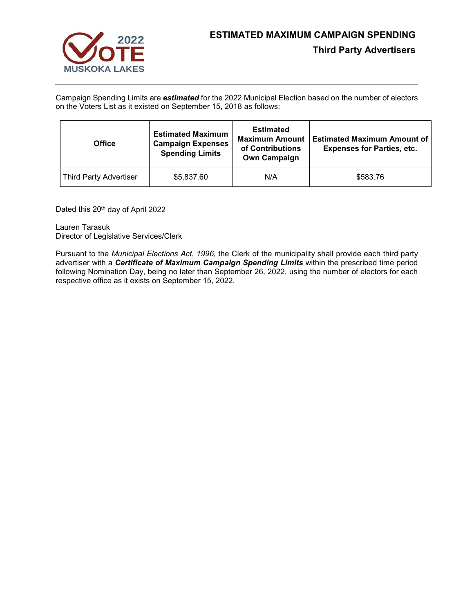

Campaign Spending Limits are *estimated* for the 2022 Municipal Election based on the number of electors on the Voters List as it existed on September 15, 2018 as follows:

| <b>Office</b>                 | <b>Estimated Maximum</b><br><b>Campaign Expenses</b><br><b>Spending Limits</b> | <b>Estimated</b><br><b>Maximum Amount</b><br>of Contributions<br><b>Own Campaign</b> | <b>Estimated Maximum Amount of</b><br><b>Expenses for Parties, etc.</b> |
|-------------------------------|--------------------------------------------------------------------------------|--------------------------------------------------------------------------------------|-------------------------------------------------------------------------|
| <b>Third Party Advertiser</b> | \$5,837.60                                                                     | N/A                                                                                  | \$583.76                                                                |

Dated this 20<sup>th</sup> day of April 2022

Lauren Tarasuk Director of Legislative Services/Clerk

Pursuant to the *Municipal Elections Act*, *1996*, the Clerk of the municipality shall provide each third party advertiser with a *Certificate of Maximum Campaign Spending Limits* within the prescribed time period following Nomination Day, being no later than September 26, 2022, using the number of electors for each respective office as it exists on September 15, 2022.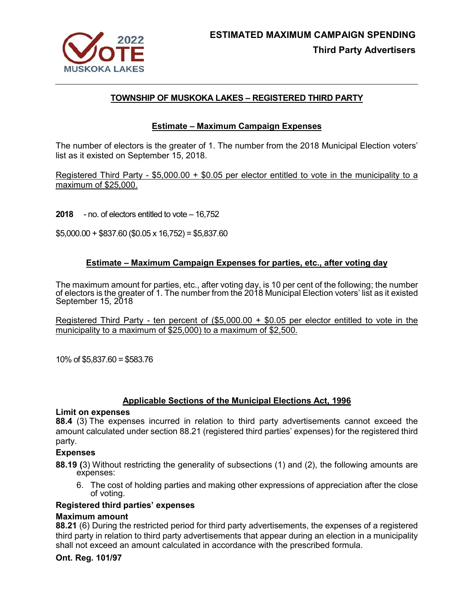

# **TOWNSHIP OF MUSKOKA LAKES – REGISTERED THIRD PARTY**

## **Estimate – Maximum Campaign Expenses**

The number of electors is the greater of 1. The number from the 2018 Municipal Election voters' list as it existed on September 15, 2018.

Registered Third Party - \$5,000.00 + \$0.05 per elector entitled to vote in the municipality to a maximum of \$25,000.

**2018** - no. of electors entitled to vote – 16,752

 $$5,000.00 + $837.60$  (\$0.05 x 16,752) = \$5,837.60

## **Estimate – Maximum Campaign Expenses for parties, etc., after voting day**

The maximum amount for parties, etc., after voting day, is 10 per cent of the following; the number of electors is the greater of 1. The number from the 2018 Municipal Election voters' list as it existed September 15, 2018

Registered Third Party - ten percent of (\$5,000.00 + \$0.05 per elector entitled to vote in the municipality to a maximum of \$25,000) to a maximum of \$2,500.

10% of \$5,837.60 = \$583.76

## **Applicable Sections of the Municipal Elections Act, 1996**

## **Limit on expenses**

**88.4** (3) The expenses incurred in relation to third party advertisements cannot exceed the amount calculated under section 88.21 (registered third parties' expenses) for the registered third party.

## **Expenses**

**88.19 (**3) Without restricting the generality of subsections (1) and (2), the following amounts are expenses:

6. The cost of holding parties and making other expressions of appreciation after the close of voting.

## **Registered third parties' expenses**

## **Maximum amount**

**88.21** (6) During the restricted period for third party advertisements, the expenses of a registered third party in relation to third party advertisements that appear during an election in a municipality shall not exceed an amount calculated in accordance with the prescribed formula.

## **Ont. Reg. 101/97**